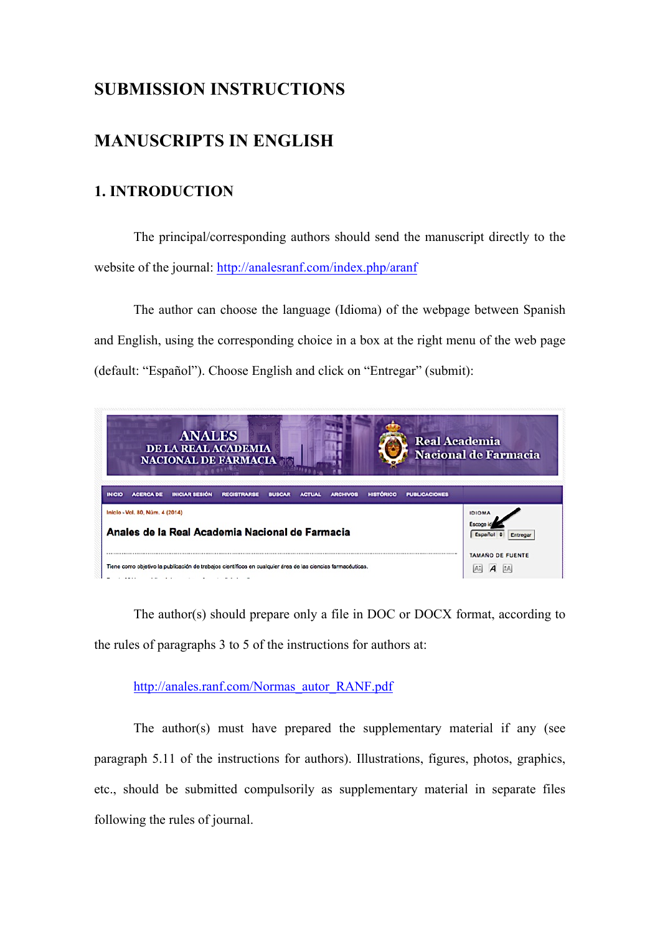# **SUBMISSION INSTRUCTIONS**

# **MANUSCRIPTS IN ENGLISH**

# **1. INTRODUCTION**

The principal/corresponding authors should send the manuscript directly to the website of the journal: http://analesranf.com/index.php/aranf

The author can choose the language (Idioma) of the webpage between Spanish and English, using the corresponding choice in a box at the right menu of the web page (default: "Español"). Choose English and click on "Entregar" (submit):

| <b>ANALES</b><br><b>Real Academia</b><br><b>DE LA REAL ACADEMIA</b><br><b>NACIONAL DE FARMACIA</b>                                                                                                                                                                      | <b>Nacional de Farmacia</b> |
|-------------------------------------------------------------------------------------------------------------------------------------------------------------------------------------------------------------------------------------------------------------------------|-----------------------------|
| <b>INICIAR SESIÓN</b><br><b>REGISTRARSE</b><br><b>PUBLICACIONES</b><br><b>ACERCA DE</b><br><b>ACTUAL</b><br><b>ARCHIVOS</b><br><b>HISTÓRICO</b><br><b>INICIO</b><br><b>BUSCAR</b><br>Inicio - Vol. 80, Núm. 4 (2014)<br>Anales de la Real Academia Nacional de Farmacia | <b>IDIOMA</b>               |
| Tiene como objetivo la publicación de trabajos científicos en cualquier área de las ciencias farmacéuticas.                                                                                                                                                             | TAMAÑO DE FUENTE            |

The author(s) should prepare only a file in DOC or DOCX format, according to the rules of paragraphs 3 to 5 of the instructions for authors at:

## http://anales.ranf.com/Normas\_autor\_RANF.pdf

The author(s) must have prepared the supplementary material if any (see paragraph 5.11 of the instructions for authors). Illustrations, figures, photos, graphics, etc., should be submitted compulsorily as supplementary material in separate files following the rules of journal.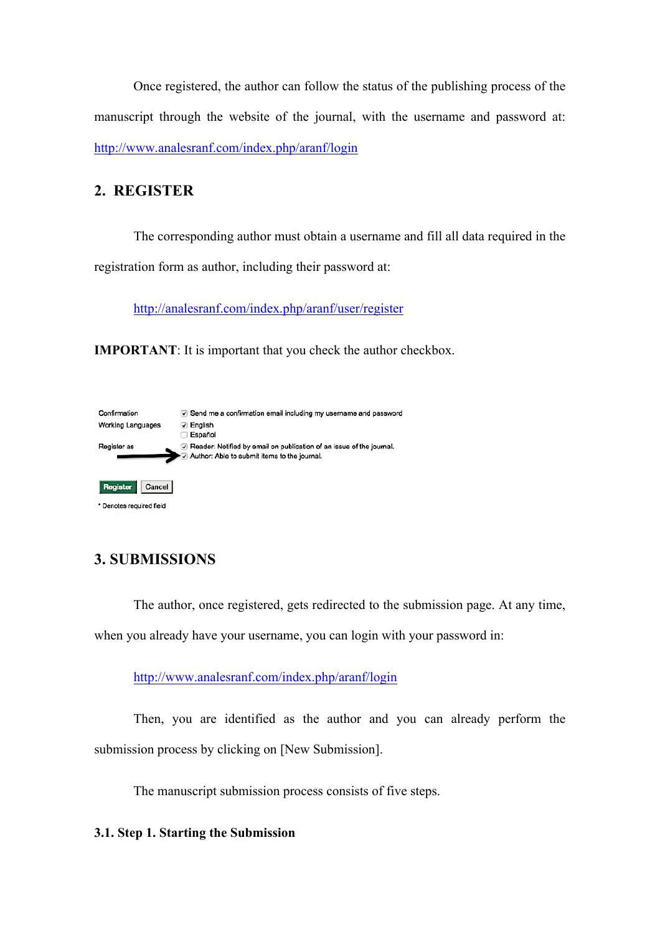Once registered, the author can follow the status of the publishing process of the manuscript through the website of the journal, with the username and password at: http://www.analesranf.com/index.php/aranf/login

# **2. REGISTER**

The corresponding author must obtain a username and fill all data required in the registration form as author, including their password at:

http://analesranf.com/index.php/aranf/user/register

**IMPORTANT**: It is important that you check the author checkbox.



# **3. SUBMISSIONS**

The author, once registered, gets redirected to the submission page. At any time,

when you already have your username, you can login with your password in:

http://www.analesranf.com/index.php/aranf/login

Then, you are identified as the author and you can already perform the submission process by clicking on [New Submission].

The manuscript submission process consists of five steps.

## **3.1. Step 1. Starting the Submission**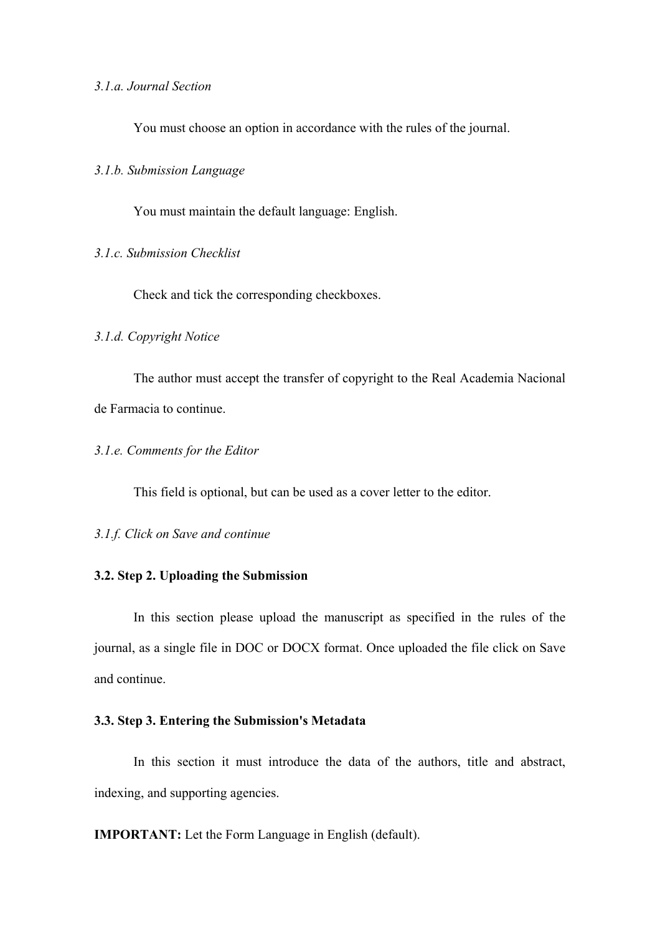### *3.1.a. Journal Section*

You must choose an option in accordance with the rules of the journal.

#### *3.1.b. Submission Language*

You must maintain the default language: English.

#### *3.1.c. Submission Checklist*

Check and tick the corresponding checkboxes.

### *3.1.d. Copyright Notice*

The author must accept the transfer of copyright to the Real Academia Nacional de Farmacia to continue.

#### *3.1.e. Comments for the Editor*

This field is optional, but can be used as a cover letter to the editor.

*3.1.f. Click on Save and continue*

#### **3.2. Step 2. Uploading the Submission**

In this section please upload the manuscript as specified in the rules of the journal, as a single file in DOC or DOCX format. Once uploaded the file click on Save and continue.

#### **3.3. Step 3. Entering the Submission's Metadata**

In this section it must introduce the data of the authors, title and abstract, indexing, and supporting agencies.

**IMPORTANT:** Let the Form Language in English (default).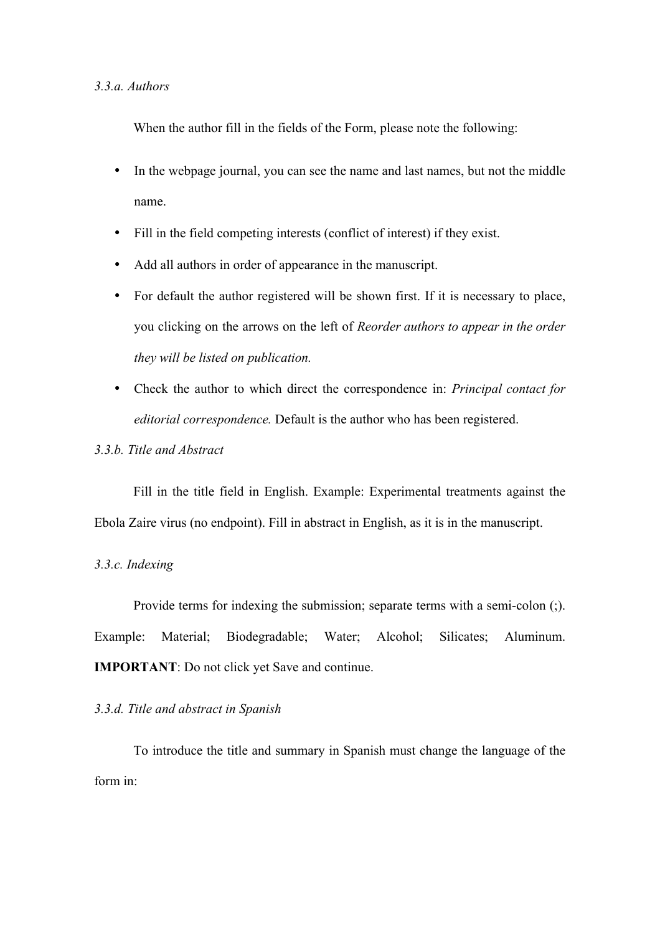#### *3.3.a. Authors*

When the author fill in the fields of the Form, please note the following:

- In the webpage journal, you can see the name and last names, but not the middle name.
- Fill in the field competing interests (conflict of interest) if they exist.
- Add all authors in order of appearance in the manuscript.
- For default the author registered will be shown first. If it is necessary to place, you clicking on the arrows on the left of *Reorder authors to appear in the order they will be listed on publication.*
- Check the author to which direct the correspondence in: *Principal contact for editorial correspondence.* Default is the author who has been registered.
- *3.3.b. Title and Abstract*

Fill in the title field in English. Example: Experimental treatments against the Ebola Zaire virus (no endpoint). Fill in abstract in English, as it is in the manuscript.

### *3.3.c. Indexing*

Provide terms for indexing the submission; separate terms with a semi-colon (;). Example: Material; Biodegradable; Water; Alcohol; Silicates; Aluminum. **IMPORTANT**: Do not click yet Save and continue.

#### *3.3.d. Title and abstract in Spanish*

To introduce the title and summary in Spanish must change the language of the form in: